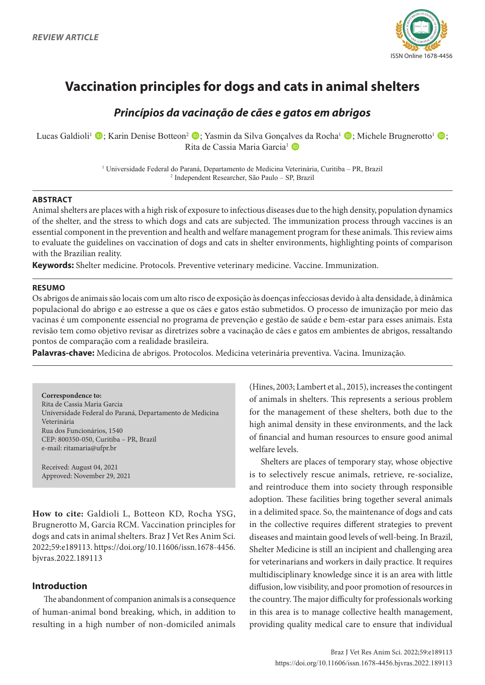

# **Vaccination principles for dogs and cats in animal shelters**

# *Princípios da vacinação de cães e gatos em abrigos*

Lucas Galdioli<sup>1</sup> •; Karin Denise Botteon<sup>2</sup> •; Yasmin da Silva Gonçalves da Rocha<sup>1</sup> •; Michele Brugnerotto<sup>1</sup> •; Rita de Cassia Maria Garcia<sup>1</sup> D

> 1 Universidade Federal do Paraná, Departamento de Medicina Veterinária, Curitiba – PR, Brazil 2 Independent Researcher, São Paulo – SP, Brazil

# **ABSTRACT**

Animal shelters are places with a high risk of exposure to infectious diseases due to the high density, population dynamics of the shelter, and the stress to which dogs and cats are subjected. The immunization process through vaccines is an essential component in the prevention and health and welfare management program for these animals. This review aims to evaluate the guidelines on vaccination of dogs and cats in shelter environments, highlighting points of comparison with the Brazilian reality.

**Keywords:** Shelter medicine. Protocols. Preventive veterinary medicine. Vaccine. Immunization.

#### **RESUMO**

Os abrigos de animais são locais com um alto risco de exposição às doenças infecciosas devido à alta densidade, à dinâmica populacional do abrigo e ao estresse a que os cães e gatos estão submetidos. O processo de imunização por meio das vacinas é um componente essencial no programa de prevenção e gestão de saúde e bem-estar para esses animais. Esta revisão tem como objetivo revisar as diretrizes sobre a vacinação de cães e gatos em ambientes de abrigos, ressaltando pontos de comparação com a realidade brasileira.

**Palavras-chave:** Medicina de abrigos. Protocolos. Medicina veterinária preventiva. Vacina. Imunização.

**Correspondence to:** Rita de Cassia Maria Garcia Universidade Federal do Paraná, Departamento de Medicina Veterinária Rua dos Funcionários, 1540 CEP: 800350-050, Curitiba – PR, Brazil e-mail: ritamaria@ufpr.br

Received: August 04, 2021 Approved: November 29, 2021

**How to cite:** Galdioli L, Botteon KD, Rocha YSG, Brugnerotto M, Garcia RCM. Vaccination principles for dogs and cats in animal shelters. Braz J Vet Res Anim Sci. 2022;59:e189113. https://doi.org/10.11606/issn.1678-4456. bjvras.2022.189113

# **Introduction**

The abandonment of companion animals is a consequence of human-animal bond breaking, which, in addition to resulting in a high number of non-domiciled animals

(Hines, 2003; Lambert et al., 2015), increases the contingent of animals in shelters. This represents a serious problem for the management of these shelters, both due to the high animal density in these environments, and the lack of financial and human resources to ensure good animal welfare levels.

Shelters are places of temporary stay, whose objective is to selectively rescue animals, retrieve, re-socialize, and reintroduce them into society through responsible adoption. These facilities bring together several animals in a delimited space. So, the maintenance of dogs and cats in the collective requires different strategies to prevent diseases and maintain good levels of well-being. In Brazil, Shelter Medicine is still an incipient and challenging area for veterinarians and workers in daily practice. It requires multidisciplinary knowledge since it is an area with little diffusion, low visibility, and poor promotion of resources in the country. The major difficulty for professionals working in this area is to manage collective health management, providing quality medical care to ensure that individual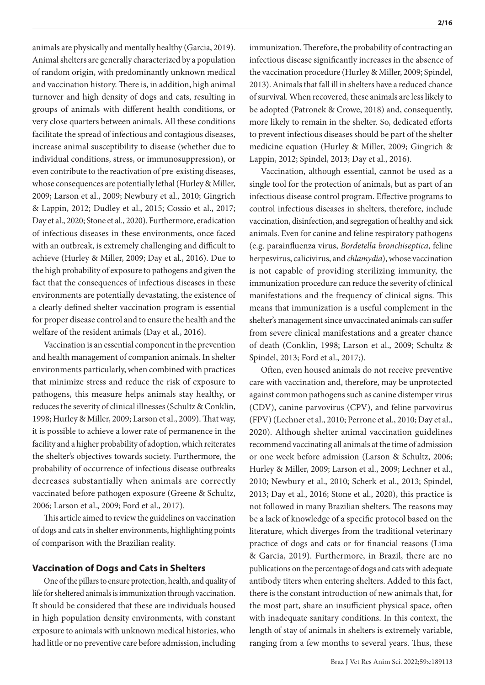animals are physically and mentally healthy (Garcia, 2019). Animal shelters are generally characterized by a population of random origin, with predominantly unknown medical and vaccination history. There is, in addition, high animal turnover and high density of dogs and cats, resulting in groups of animals with different health conditions, or very close quarters between animals. All these conditions facilitate the spread of infectious and contagious diseases, increase animal susceptibility to disease (whether due to individual conditions, stress, or immunosuppression), or even contribute to the reactivation of pre-existing diseases, whose consequences are potentially lethal (Hurley & Miller, 2009; Larson et al., 2009; Newbury et al., 2010; Gingrich & Lappin, 2012; Dudley et al., 2015; Cossio et al., 2017; Day et al., 2020; Stone et al., 2020). Furthermore, eradication of infectious diseases in these environments, once faced with an outbreak, is extremely challenging and difficult to achieve (Hurley & Miller, 2009; Day et al., 2016). Due to the high probability of exposure to pathogens and given the fact that the consequences of infectious diseases in these environments are potentially devastating, the existence of a clearly defined shelter vaccination program is essential for proper disease control and to ensure the health and the welfare of the resident animals (Day et al., 2016).

Vaccination is an essential component in the prevention and health management of companion animals. In shelter environments particularly, when combined with practices that minimize stress and reduce the risk of exposure to pathogens, this measure helps animals stay healthy, or reduces the severity of clinical illnesses (Schultz & Conklin, 1998; Hurley & Miller, 2009; Larson et al., 2009). That way, it is possible to achieve a lower rate of permanence in the facility and a higher probability of adoption, which reiterates the shelter's objectives towards society. Furthermore, the probability of occurrence of infectious disease outbreaks decreases substantially when animals are correctly vaccinated before pathogen exposure (Greene & Schultz, 2006; Larson et al., 2009; Ford et al., 2017).

This article aimed to review the guidelines on vaccination of dogs and cats in shelter environments, highlighting points of comparison with the Brazilian reality.

# **Vaccination of Dogs and Cats in Shelters**

One of the pillars to ensure protection, health, and quality of life for sheltered animals is immunization through vaccination. It should be considered that these are individuals housed in high population density environments, with constant exposure to animals with unknown medical histories, who had little or no preventive care before admission, including

immunization. Therefore, the probability of contracting an infectious disease significantly increases in the absence of the vaccination procedure (Hurley & Miller, 2009; Spindel, 2013). Animals that fall ill in shelters have a reduced chance of survival. When recovered, these animals are less likely to be adopted (Patronek & Crowe, 2018) and, consequently, more likely to remain in the shelter. So, dedicated efforts to prevent infectious diseases should be part of the shelter medicine equation (Hurley & Miller, 2009; Gingrich & Lappin, 2012; Spindel, 2013; Day et al., 2016).

Vaccination, although essential, cannot be used as a single tool for the protection of animals, but as part of an infectious disease control program. Effective programs to control infectious diseases in shelters, therefore, include vaccination, disinfection, and segregation of healthy and sick animals. Even for canine and feline respiratory pathogens (e.g. parainfluenza virus, *Bordetella bronchiseptica*, feline herpesvirus, calicivirus, and *chlamydia*), whose vaccination is not capable of providing sterilizing immunity, the immunization procedure can reduce the severity of clinical manifestations and the frequency of clinical signs. This means that immunization is a useful complement in the shelter's management since unvaccinated animals can suffer from severe clinical manifestations and a greater chance of death (Conklin, 1998; Larson et al., 2009; Schultz & Spindel, 2013; Ford et al., 2017;).

Often, even housed animals do not receive preventive care with vaccination and, therefore, may be unprotected against common pathogens such as canine distemper virus (CDV), canine parvovirus (CPV), and feline parvovirus (FPV) (Lechner et al., 2010; Perrone et al., 2010; Day et al., 2020). Although shelter animal vaccination guidelines recommend vaccinating all animals at the time of admission or one week before admission (Larson & Schultz, 2006; Hurley & Miller, 2009; Larson et al., 2009; Lechner et al., 2010; Newbury et al., 2010; Scherk et al., 2013; Spindel, 2013; Day et al., 2016; Stone et al., 2020), this practice is not followed in many Brazilian shelters. The reasons may be a lack of knowledge of a specific protocol based on the literature, which diverges from the traditional veterinary practice of dogs and cats or for financial reasons (Lima & Garcia, 2019). Furthermore, in Brazil, there are no publications on the percentage of dogs and cats with adequate antibody titers when entering shelters. Added to this fact, there is the constant introduction of new animals that, for the most part, share an insufficient physical space, often with inadequate sanitary conditions. In this context, the length of stay of animals in shelters is extremely variable, ranging from a few months to several years. Thus, these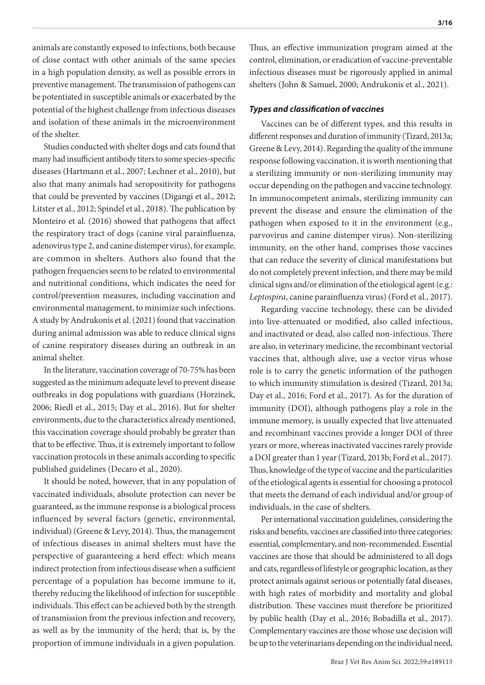animals are constantly exposed to infections, both because of close contact with other animals of the same species in a high population density, as well as possible errors in preventive management. The transmission of pathogens can be potentiated in susceptible animals or exacerbated by the potential of the highest challenge from infectious diseases and isolation of these animals in the microenvironment of the shelter.

Studies conducted with shelter dogs and cats found that many had insufficient antibody titers to some species-specific diseases (Hartmann et al., 2007; Lechner et al., 2010), but also that many animals had seropositivity for pathogens that could be prevented by vaccines (Digangi et al., 2012; Litster et al., 2012; Spindel et al., 2018). The publication by Monteiro et al. (2016) showed that pathogens that affect the respiratory tract of dogs (canine viral parainfluenza, adenovirus type 2, and canine distemper virus), for example, are common in shelters. Authors also found that the pathogen frequencies seem to be related to environmental and nutritional conditions, which indicates the need for control/prevention measures, including vaccination and environmental management, to minimize such infections. A study by Andrukonis et al. (2021) found that vaccination during animal admission was able to reduce clinical signs of canine respiratory diseases during an outbreak in an animal shelter.

In the literature, vaccination coverage of 70-75% has been suggested as the minimum adequate level to prevent disease outbreaks in dog populations with guardians (Horzinek, 2006; Riedl et al., 2015; Day et al., 2016). But for shelter environments, due to the characteristics already mentioned, this vaccination coverage should probably be greater than that to be effective. Thus, it is extremely important to follow vaccination protocols in these animals according to specific published guidelines (Decaro et al., 2020).

It should be noted, however, that in any population of vaccinated individuals, absolute protection can never be guaranteed, as the immune response is a biological process influenced by several factors (genetic, environmental, individual) (Greene & Levy, 2014). Thus, the management of infectious diseases in animal shelters must have the perspective of guaranteeing a herd effect: which means indirect protection from infectious disease when a sufficient percentage of a population has become immune to it, thereby reducing the likelihood of infection for susceptible individuals. This effect can be achieved both by the strength of transmission from the previous infection and recovery, as well as by the immunity of the herd; that is, by the proportion of immune individuals in a given population.

Thus, an effective immunization program aimed at the control, elimination, or eradication of vaccine-preventable infectious diseases must be rigorously applied in animal shelters (John & Samuel, 2000; Andrukonis et al., 2021).

#### *Types and classification of vaccines*

Vaccines can be of different types, and this results in different responses and duration of immunity (Tizard, 2013a; Greene & Levy, 2014). Regarding the quality of the immune response following vaccination, it is worth mentioning that a sterilizing immunity or non-sterilizing immunity may occur depending on the pathogen and vaccine technology. In immunocompetent animals, sterilizing immunity can prevent the disease and ensure the elimination of the pathogen when exposed to it in the environment (e.g., parvovirus and canine distemper virus). Non-sterilizing immunity, on the other hand, comprises those vaccines that can reduce the severity of clinical manifestations but do not completely prevent infection, and there may be mild clinical signs and/or elimination of the etiological agent (e.g.: *Leptospira*, canine parainfluenza virus) (Ford et al., 2017).

Regarding vaccine technology, these can be divided into live-attenuated or modified, also called infectious, and inactivated or dead, also called non-infectious. There are also, in veterinary medicine, the recombinant vectorial vaccines that, although alive, use a vector virus whose role is to carry the genetic information of the pathogen to which immunity stimulation is desired (Tizard, 2013a; Day et al., 2016; Ford et al., 2017). As for the duration of immunity (DOI), although pathogens play a role in the immune memory, is usually expected that live attenuated and recombinant vaccines provide a longer DOI of three years or more, whereas inactivated vaccines rarely provide a DOI greater than 1 year (Tizard, 2013b; Ford et al., 2017). Thus, knowledge of the type of vaccine and the particularities of the etiological agents is essential for choosing a protocol that meets the demand of each individual and/or group of individuals, in the case of shelters.

Per international vaccination guidelines, considering the risks and benefits, vaccines are classified into three categories: essential, complementary, and non-recommended. Essential vaccines are those that should be administered to all dogs and cats, regardless of lifestyle or geographic location, as they protect animals against serious or potentially fatal diseases, with high rates of morbidity and mortality and global distribution. These vaccines must therefore be prioritized by public health (Day et al., 2016; Bobadilla et al., 2017). Complementary vaccines are those whose use decision will be up to the veterinarians depending on the individual need,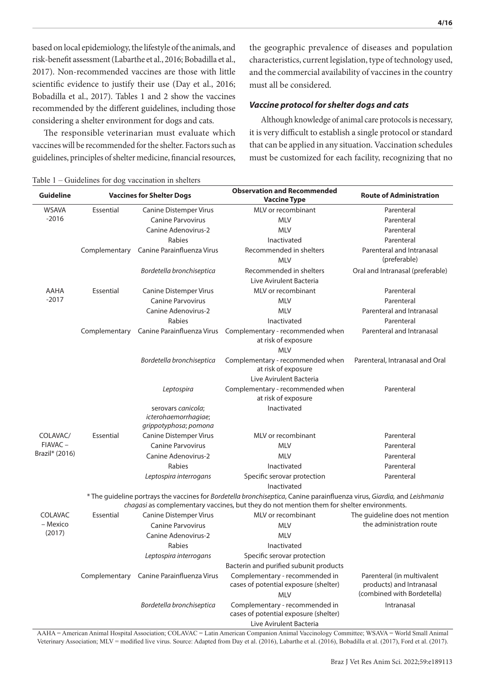based on local epidemiology, the lifestyle of the animals, and risk-benefit assessment (Labarthe et al., 2016; Bobadilla et al., 2017). Non-recommended vaccines are those with little scientific evidence to justify their use (Day et al., 2016; Bobadilla et al., 2017). Tables 1 and 2 show the vaccines recommended by the different guidelines, including those considering a shelter environment for dogs and cats.

The responsible veterinarian must evaluate which vaccines will be recommended for the shelter. Factors such as guidelines, principles of shelter medicine, financial resources,

Table 1 – Guidelines for dog vaccination in shelters

the geographic prevalence of diseases and population characteristics, current legislation, type of technology used, and the commercial availability of vaccines in the country must all be considered.

#### *Vaccine protocol for shelter dogs and cats*

Although knowledge of animal care protocols is necessary, it is very difficult to establish a single protocol or standard that can be applied in any situation. Vaccination schedules must be customized for each facility, recognizing that no

| Guideline                                                                                                                                                                                                             |               | <b>Vaccines for Shelter Dogs</b>                                    | <b>Observation and Recommended</b><br><b>Vaccine Type</b>                                        | <b>Route of Administration</b>                         |
|-----------------------------------------------------------------------------------------------------------------------------------------------------------------------------------------------------------------------|---------------|---------------------------------------------------------------------|--------------------------------------------------------------------------------------------------|--------------------------------------------------------|
| <b>WSAVA</b>                                                                                                                                                                                                          | Essential     | <b>Canine Distemper Virus</b>                                       | MLV or recombinant                                                                               | Parenteral                                             |
| $-2016$                                                                                                                                                                                                               |               | <b>Canine Parvovirus</b>                                            | <b>MLV</b>                                                                                       | Parenteral                                             |
|                                                                                                                                                                                                                       |               | <b>Canine Adenovirus-2</b>                                          | <b>MLV</b>                                                                                       | Parenteral                                             |
|                                                                                                                                                                                                                       |               | Rabies                                                              | Inactivated                                                                                      | Parenteral                                             |
|                                                                                                                                                                                                                       | Complementary | Canine Parainfluenza Virus                                          | Recommended in shelters<br><b>MLV</b>                                                            | Parenteral and Intranasal<br>(preferable)              |
|                                                                                                                                                                                                                       |               | Bordetella bronchiseptica                                           | Recommended in shelters<br>Live Avirulent Bacteria                                               | Oral and Intranasal (preferable)                       |
| AAHA                                                                                                                                                                                                                  | Essential     | <b>Canine Distemper Virus</b>                                       | MLV or recombinant                                                                               | Parenteral                                             |
| $-2017$                                                                                                                                                                                                               |               | <b>Canine Parvovirus</b>                                            | <b>MLV</b>                                                                                       | Parenteral                                             |
|                                                                                                                                                                                                                       |               | Canine Adenovirus-2                                                 | <b>MLV</b>                                                                                       | Parenteral and Intranasal                              |
|                                                                                                                                                                                                                       |               | Rabies                                                              | Inactivated                                                                                      | Parenteral                                             |
|                                                                                                                                                                                                                       | Complementary |                                                                     | Canine Parainfluenza Virus Complementary - recommended when<br>at risk of exposure<br><b>MLV</b> | Parenteral and Intranasal                              |
|                                                                                                                                                                                                                       |               | Bordetella bronchiseptica                                           | Complementary - recommended when<br>at risk of exposure                                          | Parenteral, Intranasal and Oral                        |
|                                                                                                                                                                                                                       |               |                                                                     | Live Avirulent Bacteria                                                                          |                                                        |
|                                                                                                                                                                                                                       |               | Leptospira                                                          | Complementary - recommended when<br>at risk of exposure                                          | Parenteral                                             |
|                                                                                                                                                                                                                       |               | serovars canicola:<br>icterohaemorrhagiae;<br>grippotyphosa; pomona | Inactivated                                                                                      |                                                        |
| COLAVAC/                                                                                                                                                                                                              | Essential     | <b>Canine Distemper Virus</b>                                       | MLV or recombinant                                                                               | Parenteral                                             |
| FIAVAC-                                                                                                                                                                                                               |               | <b>Canine Parvovirus</b>                                            | <b>MLV</b>                                                                                       | Parenteral                                             |
| Brazil* (2016)                                                                                                                                                                                                        |               | <b>Canine Adenovirus-2</b>                                          | <b>MLV</b>                                                                                       | Parenteral                                             |
|                                                                                                                                                                                                                       |               | Rabies                                                              | Inactivated                                                                                      | Parenteral                                             |
|                                                                                                                                                                                                                       |               | Leptospira interrogans                                              | Specific serovar protection<br>Inactivated                                                       | Parenteral                                             |
| * The guideline portrays the vaccines for Bordetella bronchiseptica, Canine parainfluenza virus, Giardia, and Leishmania<br>chagasi as complementary vaccines, but they do not mention them for shelter environments. |               |                                                                     |                                                                                                  |                                                        |
| COLAVAC                                                                                                                                                                                                               | Essential     | <b>Canine Distemper Virus</b>                                       | MLV or recombinant                                                                               | The guideline does not mention                         |
| – Mexico                                                                                                                                                                                                              |               | <b>Canine Parvovirus</b>                                            | <b>MLV</b>                                                                                       | the administration route                               |
| (2017)                                                                                                                                                                                                                |               | Canine Adenovirus-2                                                 | <b>MLV</b>                                                                                       |                                                        |
|                                                                                                                                                                                                                       |               | Rabies                                                              | Inactivated                                                                                      |                                                        |
|                                                                                                                                                                                                                       |               | Leptospira interrogans                                              | Specific serovar protection                                                                      |                                                        |
|                                                                                                                                                                                                                       |               |                                                                     | Bacterin and purified subunit products                                                           |                                                        |
|                                                                                                                                                                                                                       |               | Complementary Canine Parainfluenza Virus                            | Complementary - recommended in<br>cases of potential exposure (shelter)                          | Parenteral (in multivalent<br>products) and Intranasal |
|                                                                                                                                                                                                                       |               |                                                                     | <b>MLV</b>                                                                                       | (combined with Bordetella)                             |
|                                                                                                                                                                                                                       |               | Bordetella bronchiseptica                                           | Complementary - recommended in<br>cases of potential exposure (shelter)                          | Intranasal                                             |
|                                                                                                                                                                                                                       |               |                                                                     | Live Avirulent Bacteria                                                                          |                                                        |

AAHA = American Animal Hospital Association; COLAVAC = Latin American Companion Animal Vaccinology Committee; WSAVA = World Small Animal Veterinary Association; MLV = modified live virus. Source: Adapted from Day et al. (2016), Labarthe et al. (2016), Bobadilla et al. (2017), Ford et al. (2017).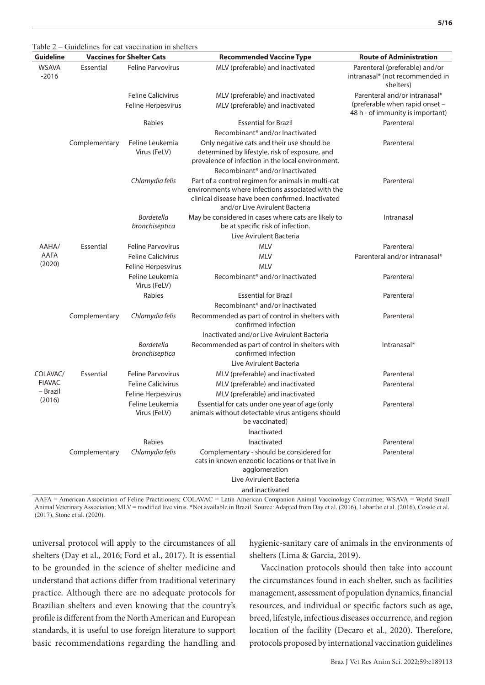| <b>Guideline</b>        |               | <b>Vaccines for Shelter Cats</b>                | <b>Recommended Vaccine Type</b>                                                                                                                                                                | <b>Route of Administration</b>                                                                      |
|-------------------------|---------------|-------------------------------------------------|------------------------------------------------------------------------------------------------------------------------------------------------------------------------------------------------|-----------------------------------------------------------------------------------------------------|
| <b>WSAVA</b><br>$-2016$ | Essential     | <b>Feline Parvovirus</b>                        | MLV (preferable) and inactivated                                                                                                                                                               | Parenteral (preferable) and/or<br>intranasal* (not recommended in<br>shelters)                      |
|                         |               | <b>Feline Calicivirus</b><br>Feline Herpesvirus | MLV (preferable) and inactivated<br>MLV (preferable) and inactivated                                                                                                                           | Parenteral and/or intranasal*<br>(preferable when rapid onset -<br>48 h - of immunity is important) |
|                         |               | Rabies                                          | <b>Essential for Brazil</b><br>Recombinant* and/or Inactivated                                                                                                                                 | Parenteral                                                                                          |
|                         | Complementary | Feline Leukemia<br>Virus (FeLV)                 | Only negative cats and their use should be<br>determined by lifestyle, risk of exposure, and<br>prevalence of infection in the local environment.<br>Recombinant* and/or Inactivated           | Parenteral                                                                                          |
|                         |               | Chlamydia felis                                 | Part of a control regimen for animals in multi-cat<br>environments where infections associated with the<br>clinical disease have been confirmed. Inactivated<br>and/or Live Avirulent Bacteria | Parenteral                                                                                          |
|                         |               | <b>Bordetella</b><br>bronchiseptica             | May be considered in cases where cats are likely to<br>be at specific risk of infection.<br>Live Avirulent Bacteria                                                                            | Intranasal                                                                                          |
| AAHA/                   | Essential     | <b>Feline Parvovirus</b>                        | <b>MLV</b>                                                                                                                                                                                     | Parenteral                                                                                          |
| AAFA<br>(2020)          |               | <b>Feline Calicivirus</b><br>Feline Herpesvirus | <b>MLV</b><br><b>MLV</b>                                                                                                                                                                       | Parenteral and/or intranasal*                                                                       |
|                         |               | Feline Leukemia<br>Virus (FeLV)                 | Recombinant* and/or Inactivated                                                                                                                                                                | Parenteral                                                                                          |
|                         |               | Rabies                                          | <b>Essential for Brazil</b>                                                                                                                                                                    | Parenteral                                                                                          |
|                         |               |                                                 | Recombinant* and/or Inactivated                                                                                                                                                                |                                                                                                     |
|                         | Complementary | Chlamydia felis                                 | Recommended as part of control in shelters with<br>confirmed infection                                                                                                                         | Parenteral                                                                                          |
|                         |               |                                                 | Inactivated and/or Live Avirulent Bacteria                                                                                                                                                     |                                                                                                     |
|                         |               | <b>Bordetella</b><br>bronchiseptica             | Recommended as part of control in shelters with<br>confirmed infection                                                                                                                         | Intranasal*                                                                                         |
|                         |               |                                                 | Live Avirulent Bacteria                                                                                                                                                                        |                                                                                                     |
| COLAVAC/                | Essential     | <b>Feline Parvovirus</b>                        | MLV (preferable) and inactivated                                                                                                                                                               | Parenteral                                                                                          |
| <b>FIAVAC</b>           |               | <b>Feline Calicivirus</b>                       | MLV (preferable) and inactivated                                                                                                                                                               | Parenteral                                                                                          |
| – Brazil<br>(2016)      |               | Feline Herpesvirus                              | MLV (preferable) and inactivated                                                                                                                                                               |                                                                                                     |
|                         |               | Feline Leukemia<br>Virus (FeLV)                 | Essential for cats under one year of age (only<br>animals without detectable virus antigens should<br>be vaccinated)                                                                           | Parenteral                                                                                          |
|                         |               |                                                 | Inactivated                                                                                                                                                                                    |                                                                                                     |
|                         |               | Rabies                                          | Inactivated                                                                                                                                                                                    | Parenteral                                                                                          |
|                         | Complementary | Chlamydia felis                                 | Complementary - should be considered for<br>cats in known enzootic locations or that live in<br>agglomeration                                                                                  | Parenteral                                                                                          |
|                         |               |                                                 | Live Avirulent Bacteria                                                                                                                                                                        |                                                                                                     |
|                         |               |                                                 | and inactivated                                                                                                                                                                                |                                                                                                     |

Table 2 – Guidelines for cat vaccination in shelters

AAFA = American Association of Feline Practitioners; COLAVAC = Latin American Companion Animal Vaccinology Committee; WSAVA = World Small Animal Veterinary Association; MLV = modified live virus. **\***Not available in Brazil. Source: Adapted from Day et al. (2016), Labarthe et al. (2016), Cossío et al. (2017), Stone et al. (2020).

universal protocol will apply to the circumstances of all shelters (Day et al., 2016; Ford et al., 2017). It is essential to be grounded in the science of shelter medicine and understand that actions differ from traditional veterinary practice. Although there are no adequate protocols for Brazilian shelters and even knowing that the country's profile is different from the North American and European standards, it is useful to use foreign literature to support basic recommendations regarding the handling and hygienic-sanitary care of animals in the environments of shelters (Lima & Garcia, 2019).

Vaccination protocols should then take into account the circumstances found in each shelter, such as facilities management, assessment of population dynamics, financial resources, and individual or specific factors such as age, breed, lifestyle, infectious diseases occurrence, and region location of the facility (Decaro et al., 2020). Therefore, protocols proposed by international vaccination guidelines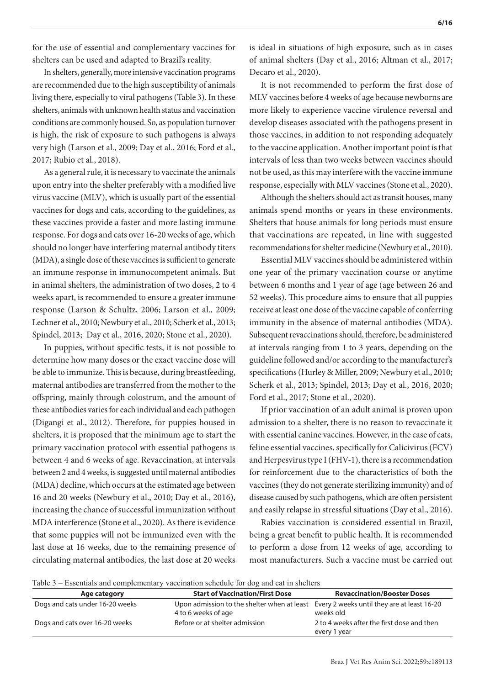for the use of essential and complementary vaccines for shelters can be used and adapted to Brazil's reality.

In shelters, generally, more intensive vaccination programs are recommended due to the high susceptibility of animals living there, especially to viral pathogens (Table 3). In these shelters, animals with unknown health status and vaccination conditions are commonly housed. So, as population turnover is high, the risk of exposure to such pathogens is always very high (Larson et al., 2009; Day et al., 2016; Ford et al., 2017; Rubio et al., 2018).

As a general rule, it is necessary to vaccinate the animals upon entry into the shelter preferably with a modified live virus vaccine (MLV), which is usually part of the essential vaccines for dogs and cats, according to the guidelines, as these vaccines provide a faster and more lasting immune response. For dogs and cats over 16-20 weeks of age, which should no longer have interfering maternal antibody titers (MDA), a single dose of these vaccines is sufficient to generate an immune response in immunocompetent animals. But in animal shelters, the administration of two doses, 2 to 4 weeks apart, is recommended to ensure a greater immune response (Larson & Schultz, 2006; Larson et al., 2009; Lechner et al., 2010; Newbury et al., 2010; Scherk et al., 2013; Spindel, 2013; Day et al., 2016, 2020; Stone et al., 2020).

In puppies, without specific tests, it is not possible to determine how many doses or the exact vaccine dose will be able to immunize. This is because, during breastfeeding, maternal antibodies are transferred from the mother to the offspring, mainly through colostrum, and the amount of these antibodies varies for each individual and each pathogen (Digangi et al., 2012). Therefore, for puppies housed in shelters, it is proposed that the minimum age to start the primary vaccination protocol with essential pathogens is between 4 and 6 weeks of age. Revaccination, at intervals between 2 and 4 weeks, is suggested until maternal antibodies (MDA) decline, which occurs at the estimated age between 16 and 20 weeks (Newbury et al., 2010; Day et al., 2016), increasing the chance of successful immunization without MDA interference (Stone et al., 2020). As there is evidence that some puppies will not be immunized even with the last dose at 16 weeks, due to the remaining presence of circulating maternal antibodies, the last dose at 20 weeks

is ideal in situations of high exposure, such as in cases of animal shelters (Day et al., 2016; Altman et al., 2017; Decaro et al., 2020).

It is not recommended to perform the first dose of MLV vaccines before 4 weeks of age because newborns are more likely to experience vaccine virulence reversal and develop diseases associated with the pathogens present in those vaccines, in addition to not responding adequately to the vaccine application. Another important point is that intervals of less than two weeks between vaccines should not be used, as this may interfere with the vaccine immune response, especially with MLV vaccines (Stone et al., 2020).

Although the shelters should act as transit houses, many animals spend months or years in these environments. Shelters that house animals for long periods must ensure that vaccinations are repeated, in line with suggested recommendations for shelter medicine (Newbury et al., 2010).

Essential MLV vaccines should be administered within one year of the primary vaccination course or anytime between 6 months and 1 year of age (age between 26 and 52 weeks). This procedure aims to ensure that all puppies receive at least one dose of the vaccine capable of conferring immunity in the absence of maternal antibodies (MDA). Subsequent revaccinations should, therefore, be administered at intervals ranging from 1 to 3 years, depending on the guideline followed and/or according to the manufacturer's specifications (Hurley & Miller, 2009; Newbury et al., 2010; Scherk et al., 2013; Spindel, 2013; Day et al., 2016, 2020; Ford et al., 2017; Stone et al., 2020).

If prior vaccination of an adult animal is proven upon admission to a shelter, there is no reason to revaccinate it with essential canine vaccines. However, in the case of cats, feline essential vaccines, specifically for Calicivirus (FCV) and Herpesvirus type I (FHV-1), there is a recommendation for reinforcement due to the characteristics of both the vaccines (they do not generate sterilizing immunity) and of disease caused by such pathogens, which are often persistent and easily relapse in stressful situations (Day et al., 2016).

Rabies vaccination is considered essential in Brazil, being a great benefit to public health. It is recommended to perform a dose from 12 weeks of age, according to most manufacturers. Such a vaccine must be carried out

Table 3 – Essentials and complementary vaccination schedule for dog and cat in shelters

| 10010J<br>Lessentials and complementary vacemation senceale for dog and cat in shericis |                                                                                                                |                                                            |  |
|-----------------------------------------------------------------------------------------|----------------------------------------------------------------------------------------------------------------|------------------------------------------------------------|--|
| Age category                                                                            | <b>Start of Vaccination/First Dose</b>                                                                         | <b>Revaccination/Booster Doses</b>                         |  |
| Dogs and cats under 16-20 weeks                                                         | Upon admission to the shelter when at least Every 2 weeks until they are at least 16-20<br>4 to 6 weeks of age | weeks old                                                  |  |
| Dogs and cats over 16-20 weeks                                                          | Before or at shelter admission                                                                                 | 2 to 4 weeks after the first dose and then<br>every 1 year |  |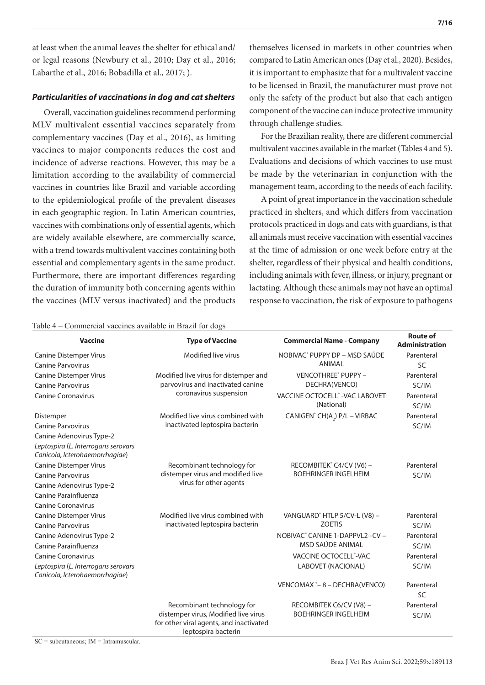at least when the animal leaves the shelter for ethical and/ or legal reasons (Newbury et al., 2010; Day et al., 2016; Labarthe et al., 2016; Bobadilla et al., 2017; ).

#### *Particularities of vaccinations in dog and cat shelters*

Overall, vaccination guidelines recommend performing MLV multivalent essential vaccines separately from complementary vaccines (Day et al., 2016), as limiting vaccines to major components reduces the cost and incidence of adverse reactions. However, this may be a limitation according to the availability of commercial vaccines in countries like Brazil and variable according to the epidemiological profile of the prevalent diseases in each geographic region. In Latin American countries, vaccines with combinations only of essential agents, which are widely available elsewhere, are commercially scarce, with a trend towards multivalent vaccines containing both essential and complementary agents in the same product. Furthermore, there are important differences regarding the duration of immunity both concerning agents within the vaccines (MLV versus inactivated) and the products

themselves licensed in markets in other countries when compared to Latin American ones (Day et al., 2020). Besides, it is important to emphasize that for a multivalent vaccine to be licensed in Brazil, the manufacturer must prove not only the safety of the product but also that each antigen component of the vaccine can induce protective immunity through challenge studies.

For the Brazilian reality, there are different commercial multivalent vaccines available in the market (Tables 4 and 5). Evaluations and decisions of which vaccines to use must be made by the veterinarian in conjunction with the management team, according to the needs of each facility.

A point of great importance in the vaccination schedule practiced in shelters, and which differs from vaccination protocols practiced in dogs and cats with guardians, is that all animals must receive vaccination with essential vaccines at the time of admission or one week before entry at the shelter, regardless of their physical and health conditions, including animals with fever, illness, or injury, pregnant or lactating. Although these animals may not have an optimal response to vaccination, the risk of exposure to pathogens

Table 4 – Commercial vaccines available in Brazil for dogs

| <b>Vaccine</b>                                                        | <b>Type of Vaccine</b>                                                                                        | <b>Commercial Name - Company</b>                       | <b>Route of</b><br><b>Administration</b> |
|-----------------------------------------------------------------------|---------------------------------------------------------------------------------------------------------------|--------------------------------------------------------|------------------------------------------|
| <b>Canine Distemper Virus</b>                                         | Modified live virus                                                                                           | NOBIVAC® PUPPY DP - MSD SAÚDE                          | Parenteral                               |
| <b>Canine Parvovirus</b>                                              |                                                                                                               | ANIMAL                                                 | <b>SC</b>                                |
| <b>Canine Distemper Virus</b>                                         | Modified live virus for distemper and                                                                         | VENCOTHREE® PUPPY -                                    | Parenteral                               |
| <b>Canine Parvovirus</b>                                              | parvovirus and inactivated canine                                                                             | DECHRA(VENCO)                                          | SC/IM                                    |
| <b>Canine Coronavirus</b>                                             | coronavirus suspension                                                                                        | VACCINE OCTOCELL® - VAC LABOVET<br>(National)          | Parenteral<br>SC/IM                      |
| Distemper                                                             | Modified live virus combined with                                                                             | CANIGEN® CH(A2) P/L - VIRBAC                           | Parenteral                               |
| <b>Canine Parvovirus</b>                                              | inactivated leptospira bacterin                                                                               |                                                        | SC/IM                                    |
| Canine Adenovirus Type-2                                              |                                                                                                               |                                                        |                                          |
| Leptospira (L. Interrogans serovars<br>Canicola, Icterohaemorrhagiae) |                                                                                                               |                                                        |                                          |
| <b>Canine Distemper Virus</b>                                         | Recombinant technology for                                                                                    | RECOMBITEK® C4/CV (V6) -                               | Parenteral                               |
| <b>Canine Parvovirus</b>                                              | distemper virus and modified live                                                                             | <b>BOEHRINGER INGELHEIM</b>                            | SC/IM                                    |
| Canine Adenovirus Type-2                                              | virus for other agents                                                                                        |                                                        |                                          |
| Canine Parainfluenza                                                  |                                                                                                               |                                                        |                                          |
| <b>Canine Coronavirus</b>                                             |                                                                                                               |                                                        |                                          |
| <b>Canine Distemper Virus</b>                                         | Modified live virus combined with                                                                             | VANGUARD <sup>®</sup> HTLP 5/CV-L (V8) -               | Parenteral                               |
| <b>Canine Parvovirus</b>                                              | inactivated leptospira bacterin                                                                               | <b>ZOETIS</b>                                          | SC/IM                                    |
| Canine Adenovirus Type-2                                              |                                                                                                               | NOBIVAC® CANINE 1-DAPPVL2+CV-                          | Parenteral                               |
| Canine Parainfluenza                                                  |                                                                                                               | MSD SAÚDE ANIMAL                                       | SC/IM                                    |
| <b>Canine Coronavirus</b>                                             |                                                                                                               | VACCINE OCTOCELL°-VAC                                  | Parenteral                               |
| Leptospira (L. Interrogans serovars<br>Canicola, Icterohaemorrhagiae) |                                                                                                               | <b>LABOVET (NACIONAL)</b>                              | SC/IM                                    |
|                                                                       |                                                                                                               | VENCOMAX *- 8 - DECHRA(VENCO)                          | Parenteral<br><b>SC</b>                  |
|                                                                       | Recombinant technology for<br>distemper virus, Modified live virus<br>for other viral agents, and inactivated | RECOMBITEK C6/CV (V8) -<br><b>BOEHRINGER INGELHEIM</b> | Parenteral<br>SC/IM                      |

leptospira bacterin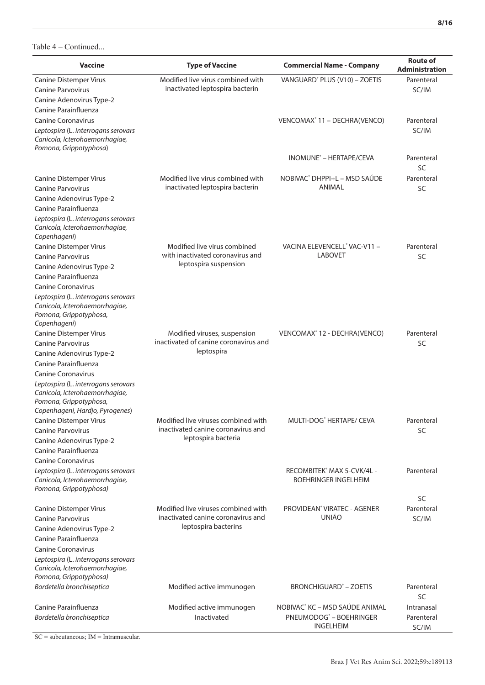| <b>Vaccine</b>                                                                                  | <b>Type of Vaccine</b>                                                    | <b>Commercial Name - Company</b>           | <b>Route of</b><br><b>Administration</b> |
|-------------------------------------------------------------------------------------------------|---------------------------------------------------------------------------|--------------------------------------------|------------------------------------------|
| Canine Distemper Virus<br><b>Canine Parvovirus</b>                                              | Modified live virus combined with<br>inactivated leptospira bacterin      | VANGUARD® PLUS (V10) - ZOETIS              | Parenteral<br>SC/IM                      |
| Canine Adenovirus Type-2                                                                        |                                                                           |                                            |                                          |
| Canine Parainfluenza                                                                            |                                                                           |                                            |                                          |
| <b>Canine Coronavirus</b>                                                                       |                                                                           | VENCOMAX <sup>®</sup> 11 - DECHRA(VENCO)   | Parenteral                               |
| Leptospira (L. interrogans serovars<br>Canicola, Icterohaemorrhagiae,<br>Pomona, Grippotyphosa) |                                                                           |                                            | SC/IM                                    |
|                                                                                                 |                                                                           | INOMUNE <sup>®</sup> - HERTAPE/CEVA        | Parenteral<br>SC                         |
| <b>Canine Distemper Virus</b>                                                                   | Modified live virus combined with                                         | NOBIVAC® DHPPI+L - MSD SAÚDE               | Parenteral                               |
| <b>Canine Parvovirus</b>                                                                        | inactivated leptospira bacterin                                           | ANIMAL                                     | SC                                       |
| Canine Adenovirus Type-2                                                                        |                                                                           |                                            |                                          |
| Canine Parainfluenza                                                                            |                                                                           |                                            |                                          |
| Leptospira (L. interrogans serovars<br>Canicola, Icterohaemorrhagiae,<br>Copenhageni)           |                                                                           |                                            |                                          |
| <b>Canine Distemper Virus</b>                                                                   | Modified live virus combined                                              | VACINA ELEVENCELL <sup>®</sup> VAC-V11 -   | Parenteral                               |
| <b>Canine Parvovirus</b>                                                                        | with inactivated coronavirus and                                          | <b>LABOVET</b>                             | SC                                       |
| Canine Adenovirus Type-2                                                                        | leptospira suspension                                                     |                                            |                                          |
| Canine Parainfluenza                                                                            |                                                                           |                                            |                                          |
| <b>Canine Coronavirus</b>                                                                       |                                                                           |                                            |                                          |
| Leptospira (L. interrogans serovars                                                             |                                                                           |                                            |                                          |
| Canicola, Icterohaemorrhagiae,                                                                  |                                                                           |                                            |                                          |
| Pomona, Grippotyphosa,<br>Copenhageni)                                                          |                                                                           |                                            |                                          |
| <b>Canine Distemper Virus</b>                                                                   | Modified viruses, suspension                                              | VENCOMAX° 12 - DECHRA(VENCO)               | Parenteral                               |
| <b>Canine Parvovirus</b>                                                                        | inactivated of canine coronavirus and                                     |                                            | SC                                       |
| Canine Adenovirus Type-2                                                                        | leptospira                                                                |                                            |                                          |
| Canine Parainfluenza                                                                            |                                                                           |                                            |                                          |
| <b>Canine Coronavirus</b>                                                                       |                                                                           |                                            |                                          |
| Leptospira (L. interrogans serovars<br>Canicola, Icterohaemorrhagiae,<br>Pomona, Grippotyphosa, |                                                                           |                                            |                                          |
| Copenhageni, Hardjo, Pyrogenes)                                                                 |                                                                           |                                            |                                          |
| <b>Canine Distemper Virus</b><br><b>Canine Parvovirus</b>                                       | Modified live viruses combined with<br>inactivated canine coronavirus and | MUITI-DOG <sup>®</sup> HERTAPE/ CEVA       | Parenteral<br>SC                         |
| Canine Adenovirus Type-2                                                                        | leptospira bacteria                                                       |                                            |                                          |
| Canine Parainfluenza                                                                            |                                                                           |                                            |                                          |
| <b>Canine Coronavirus</b>                                                                       |                                                                           |                                            |                                          |
| Leptospira (L. interrogans serovars                                                             |                                                                           | RECOMBITEK® MAX 5-CVK/4L -                 | Parenteral                               |
| Canicola, Icterohaemorrhagiae,                                                                  |                                                                           | <b>BOEHRINGER INGELHEIM</b>                |                                          |
| Pomona, Grippotyphosa)                                                                          |                                                                           |                                            |                                          |
| <b>Canine Distemper Virus</b>                                                                   | Modified live viruses combined with                                       | PROVIDEAN <sup>®</sup> VIRATEC - AGENER    | SC<br>Parenteral                         |
| <b>Canine Parvovirus</b>                                                                        | inactivated canine coronavirus and                                        | <b>UNIÃO</b>                               | SC/IM                                    |
| Canine Adenovirus Type-2                                                                        | leptospira bacterins                                                      |                                            |                                          |
| Canine Parainfluenza                                                                            |                                                                           |                                            |                                          |
| <b>Canine Coronavirus</b>                                                                       |                                                                           |                                            |                                          |
| Leptospira (L. interrogans serovars<br>Canicola, Icterohaemorrhagiae,<br>Pomona, Grippotyphosa) |                                                                           |                                            |                                          |
| Bordetella bronchiseptica                                                                       | Modified active immunogen                                                 | <b>BRONCHIGUARD<sup>®</sup> - ZOETIS</b>   | Parenteral                               |
| Canine Parainfluenza                                                                            | Modified active immunogen                                                 | NOBIVAC <sup>®</sup> KC - MSD SAÚDE ANIMAL | SC<br>Intranasal                         |
| Bordetella bronchiseptica                                                                       | Inactivated                                                               | PNEUMODOG <sup>®</sup> - BOEHRINGER        | Parenteral                               |
|                                                                                                 |                                                                           | <b>INGELHEIM</b>                           | SC/IM                                    |

 $SC = subcutaneous$ ;  $IM = Intramuscular$ .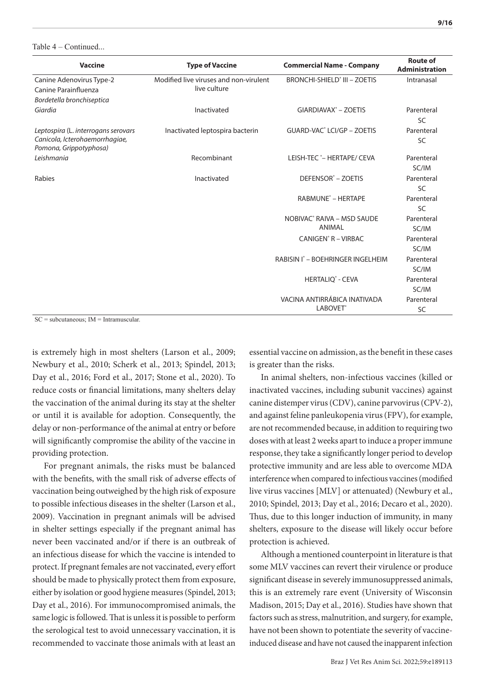| <b>Vaccine</b>                                                                                  | <b>Type of Vaccine</b>                                 | <b>Commercial Name - Company</b>                            | <b>Route of</b><br><b>Administration</b> |
|-------------------------------------------------------------------------------------------------|--------------------------------------------------------|-------------------------------------------------------------|------------------------------------------|
| Canine Adenovirus Type-2<br>Canine Parainfluenza<br>Bordetella bronchiseptica                   | Modified live viruses and non-virulent<br>live culture | <b>BRONCHI-SHIELD° III - ZOETIS</b>                         | Intranasal                               |
| Giardia                                                                                         | Inactivated                                            | GIARDIAVAX <sup>®</sup> - ZOETIS                            | Parenteral<br>SC                         |
| Leptospira (L. interrogans serovars<br>Canicola, Icterohaemorrhagiae,<br>Pomona, Grippotyphosa) | Inactivated leptospira bacterin                        | GUARD-VAC <sup>®</sup> LCI/GP - ZOETIS                      | Parenteral<br>SC                         |
| Leishmania                                                                                      | Recombinant                                            | LEISH-TEC <sup>*</sup> - HERTAPE/ CEVA                      | Parenteral<br>SC/IM                      |
| Rabies                                                                                          | Inactivated                                            | DEFENSOR <sup>®</sup> - ZOETIS                              | Parenteral<br><b>SC</b>                  |
|                                                                                                 |                                                        | RABMUNE <sup>®</sup> - HERTAPE                              | Parenteral<br>SC                         |
|                                                                                                 |                                                        | NOBIVAC <sup>®</sup> RAIVA - MSD SAUDE<br><b>ANIMAL</b>     | Parenteral<br>SC/IM                      |
|                                                                                                 |                                                        | CANIGEN <sup>®</sup> R - VIRBAC                             | Parenteral<br>SC/IM                      |
|                                                                                                 |                                                        | RABISIN I° - BOEHRINGER INGELHEIM                           | Parenteral<br>SC/IM                      |
|                                                                                                 |                                                        | <b>HERTALIQ<sup>®</sup> - CEVA</b>                          | Parenteral<br>SC/IM                      |
|                                                                                                 |                                                        | VACINA ANTIRRÁBICA INATIVADA<br><b>LABOVET</b> <sup>®</sup> | Parenteral<br>SC                         |

SC = subcutaneous; IM = Intramuscular.

is extremely high in most shelters (Larson et al., 2009; Newbury et al., 2010; Scherk et al., 2013; Spindel, 2013; Day et al., 2016; Ford et al., 2017; Stone et al., 2020). To reduce costs or financial limitations, many shelters delay the vaccination of the animal during its stay at the shelter or until it is available for adoption. Consequently, the delay or non-performance of the animal at entry or before will significantly compromise the ability of the vaccine in providing protection.

For pregnant animals, the risks must be balanced with the benefits, with the small risk of adverse effects of vaccination being outweighed by the high risk of exposure to possible infectious diseases in the shelter (Larson et al., 2009). Vaccination in pregnant animals will be advised in shelter settings especially if the pregnant animal has never been vaccinated and/or if there is an outbreak of an infectious disease for which the vaccine is intended to protect. If pregnant females are not vaccinated, every effort should be made to physically protect them from exposure, either by isolation or good hygiene measures (Spindel, 2013; Day et al., 2016). For immunocompromised animals, the same logic is followed. That is unless it is possible to perform the serological test to avoid unnecessary vaccination, it is recommended to vaccinate those animals with at least an

essential vaccine on admission, as the benefit in these cases is greater than the risks.

In animal shelters, non-infectious vaccines (killed or inactivated vaccines, including subunit vaccines) against canine distemper virus (CDV), canine parvovirus (CPV-2), and against feline panleukopenia virus (FPV), for example, are not recommended because, in addition to requiring two doses with at least 2 weeks apart to induce a proper immune response, they take a significantly longer period to develop protective immunity and are less able to overcome MDA interference when compared to infectious vaccines (modified live virus vaccines [MLV] or attenuated) (Newbury et al., 2010; Spindel, 2013; Day et al., 2016; Decaro et al., 2020). Thus, due to this longer induction of immunity, in many shelters, exposure to the disease will likely occur before protection is achieved.

Although a mentioned counterpoint in literature is that some MLV vaccines can revert their virulence or produce significant disease in severely immunosuppressed animals, this is an extremely rare event (University of Wisconsin Madison, 2015; Day et al., 2016). Studies have shown that factors such as stress, malnutrition, and surgery, for example, have not been shown to potentiate the severity of vaccineinduced disease and have not caused the inapparent infection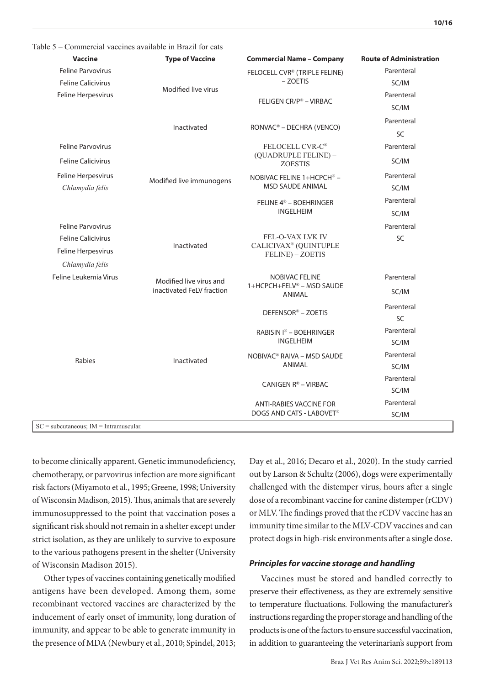| <b>Vaccine</b>            | <b>Type of Vaccine</b>    | <b>Commercial Name - Company</b>                      | <b>Route of Administration</b> |
|---------------------------|---------------------------|-------------------------------------------------------|--------------------------------|
| <b>Feline Parvovirus</b>  |                           | FELOCELL CVR® (TRIPLE FELINE)                         | Parenteral                     |
| <b>Feline Calicivirus</b> | Modified live virus       | - ZOETIS                                              | SC/IM                          |
| Feline Herpesvirus        |                           | FELIGEN CR/P® - VIRBAC                                | Parenteral                     |
|                           |                           |                                                       | SC/IM                          |
|                           | Inactivated               | RONVAC <sup>®</sup> - DECHRA (VENCO)                  | Parenteral                     |
|                           |                           |                                                       | SC                             |
| Feline Parvovirus         |                           | FELOCELL CVR-C®                                       | Parenteral                     |
| <b>Feline Calicivirus</b> |                           | (QUADRUPLE FELINE) -<br><b>ZOESTIS</b>                | SC/IM                          |
| Feline Herpesvirus        |                           | NOBIVAC FELINE 1+HCPCH® -                             | Parenteral                     |
| Chlamydia felis           | Modified live immunogens  | <b>MSD SAUDE ANIMAL</b>                               | SC/IM                          |
|                           |                           | FELINE 4 <sup>®</sup> - BOEHRINGER                    | Parenteral                     |
|                           |                           | <b>INGELHEIM</b>                                      | SC/IM                          |
| <b>Feline Parvovirus</b>  |                           |                                                       | Parenteral                     |
| <b>Feline Calicivirus</b> |                           | FEL-O-VAX LVK IV                                      | SC                             |
| Feline Herpesvirus        | Inactivated               | CALICIVAX <sup>®</sup> (QUINTUPLE<br>FELINE) - ZOETIS |                                |
| Chlamydia felis           |                           |                                                       |                                |
| Feline Leukemia Virus     | Modified live virus and   | <b>NOBIVAC FELINE</b>                                 | Parenteral                     |
|                           | inactivated FeLV fraction | 1+HCPCH+FELV® - MSD SAUDE<br>ANIMAL                   | SC/IM                          |
|                           |                           |                                                       | Parenteral                     |
|                           |                           | DEFENSOR® - ZOETIS                                    | <b>SC</b>                      |
|                           |                           | RABISIN I® - BOEHRINGER                               | Parenteral                     |
|                           |                           | <b>INGELHEIM</b>                                      | SC/IM                          |
| Rabies                    | Inactivated               | NOBIVAC <sup>®</sup> RAIVA - MSD SAUDE                | Parenteral                     |
|                           |                           | ANIMAL                                                | SC/IM                          |
|                           |                           | CANIGEN R® - VIRBAC                                   | Parenteral                     |
|                           |                           |                                                       | SC/IM                          |
|                           |                           | <b>ANTI-RABIES VACCINE FOR</b>                        | Parenteral                     |
|                           |                           | DOGS AND CATS - LABOVET®                              | SC/IM                          |

to become clinically apparent. Genetic immunodeficiency, chemotherapy, or parvovirus infection are more significant risk factors (Miyamoto et al., 1995; Greene, 1998; University of Wisconsin Madison, 2015). Thus, animals that are severely immunosuppressed to the point that vaccination poses a significant risk should not remain in a shelter except under strict isolation, as they are unlikely to survive to exposure to the various pathogens present in the shelter (University of Wisconsin Madison 2015).

Other types of vaccines containing genetically modified antigens have been developed. Among them, some recombinant vectored vaccines are characterized by the inducement of early onset of immunity, long duration of immunity, and appear to be able to generate immunity in the presence of MDA (Newbury et al., 2010; Spindel, 2013;

Day et al., 2016; Decaro et al., 2020). In the study carried out by Larson & Schultz (2006), dogs were experimentally challenged with the distemper virus, hours after a single dose of a recombinant vaccine for canine distemper (rCDV) or MLV. The findings proved that the rCDV vaccine has an immunity time similar to the MLV-CDV vaccines and can protect dogs in high-risk environments after a single dose.

#### *Principles for vaccine storage and handling*

Vaccines must be stored and handled correctly to preserve their effectiveness, as they are extremely sensitive to temperature fluctuations. Following the manufacturer's instructions regarding the proper storage and handling of the products is one of the factors to ensure successful vaccination, in addition to guaranteeing the veterinarian's support from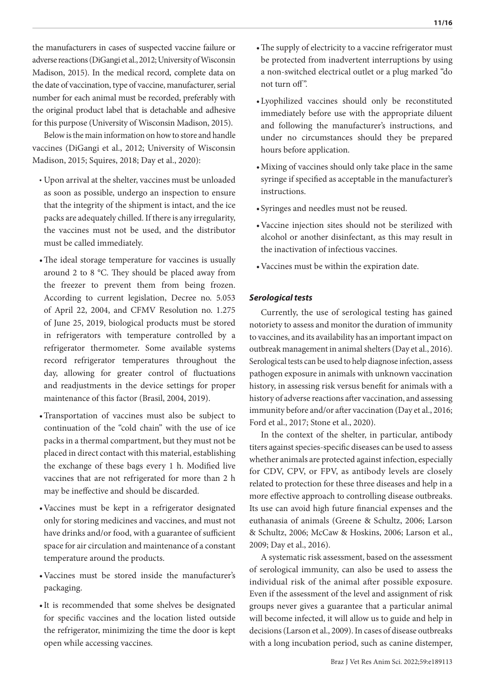the manufacturers in cases of suspected vaccine failure or adverse reactions (DiGangi et al., 2012; University of Wisconsin Madison, 2015). In the medical record, complete data on the date of vaccination, type of vaccine, manufacturer, serial number for each animal must be recorded, preferably with the original product label that is detachable and adhesive for this purpose (University of Wisconsin Madison, 2015).

Below is the main information on how to store and handle vaccines (DiGangi et al., 2012; University of Wisconsin Madison, 2015; Squires, 2018; Day et al., 2020):

- Upon arrival at the shelter, vaccines must be unloaded as soon as possible, undergo an inspection to ensure that the integrity of the shipment is intact, and the ice packs are adequately chilled. If there is any irregularity, the vaccines must not be used, and the distributor must be called immediately.
- •The ideal storage temperature for vaccines is usually around 2 to 8 °C. They should be placed away from the freezer to prevent them from being frozen. According to current legislation, Decree no. 5.053 of April 22, 2004, and CFMV Resolution no. 1.275 of June 25, 2019, biological products must be stored in refrigerators with temperature controlled by a refrigerator thermometer. Some available systems record refrigerator temperatures throughout the day, allowing for greater control of fluctuations and readjustments in the device settings for proper maintenance of this factor (Brasil, 2004, 2019).
- •Transportation of vaccines must also be subject to continuation of the "cold chain" with the use of ice packs in a thermal compartment, but they must not be placed in direct contact with this material, establishing the exchange of these bags every 1 h. Modified live vaccines that are not refrigerated for more than 2 h may be ineffective and should be discarded.
- •Vaccines must be kept in a refrigerator designated only for storing medicines and vaccines, and must not have drinks and/or food, with a guarantee of sufficient space for air circulation and maintenance of a constant temperature around the products.
- •Vaccines must be stored inside the manufacturer's packaging.
- •It is recommended that some shelves be designated for specific vaccines and the location listed outside the refrigerator, minimizing the time the door is kept open while accessing vaccines.
- •The supply of electricity to a vaccine refrigerator must be protected from inadvertent interruptions by using a non-switched electrical outlet or a plug marked "do not turn off".
- •Lyophilized vaccines should only be reconstituted immediately before use with the appropriate diluent and following the manufacturer's instructions, and under no circumstances should they be prepared hours before application.
- •Mixing of vaccines should only take place in the same syringe if specified as acceptable in the manufacturer's instructions.
- Syringes and needles must not be reused.
- •Vaccine injection sites should not be sterilized with alcohol or another disinfectant, as this may result in the inactivation of infectious vaccines.
- •Vaccines must be within the expiration date.

# *Serological tests*

Currently, the use of serological testing has gained notoriety to assess and monitor the duration of immunity to vaccines, and its availability has an important impact on outbreak management in animal shelters (Day et al., 2016). Serological tests can be used to help diagnose infection, assess pathogen exposure in animals with unknown vaccination history, in assessing risk versus benefit for animals with a history of adverse reactions after vaccination, and assessing immunity before and/or after vaccination (Day et al., 2016; Ford et al., 2017; Stone et al., 2020).

In the context of the shelter, in particular, antibody titers against species-specific diseases can be used to assess whether animals are protected against infection, especially for CDV, CPV, or FPV, as antibody levels are closely related to protection for these three diseases and help in a more effective approach to controlling disease outbreaks. Its use can avoid high future financial expenses and the euthanasia of animals (Greene & Schultz, 2006; Larson & Schultz, 2006; McCaw & Hoskins, 2006; Larson et al., 2009; Day et al., 2016).

A systematic risk assessment, based on the assessment of serological immunity, can also be used to assess the individual risk of the animal after possible exposure. Even if the assessment of the level and assignment of risk groups never gives a guarantee that a particular animal will become infected, it will allow us to guide and help in decisions (Larson et al., 2009). In cases of disease outbreaks with a long incubation period, such as canine distemper,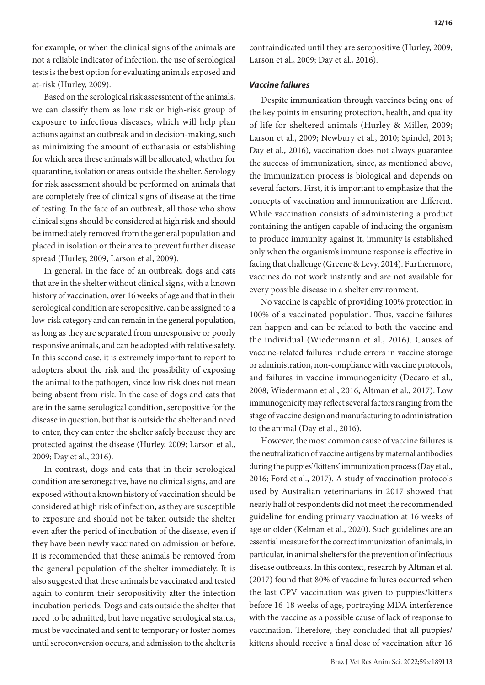for example, or when the clinical signs of the animals are not a reliable indicator of infection, the use of serological tests is the best option for evaluating animals exposed and at-risk (Hurley, 2009).

Based on the serological risk assessment of the animals, we can classify them as low risk or high-risk group of exposure to infectious diseases, which will help plan actions against an outbreak and in decision-making, such as minimizing the amount of euthanasia or establishing for which area these animals will be allocated, whether for quarantine, isolation or areas outside the shelter. Serology for risk assessment should be performed on animals that are completely free of clinical signs of disease at the time of testing. In the face of an outbreak, all those who show clinical signs should be considered at high risk and should be immediately removed from the general population and placed in isolation or their area to prevent further disease spread (Hurley, 2009; Larson et al, 2009).

In general, in the face of an outbreak, dogs and cats that are in the shelter without clinical signs, with a known history of vaccination, over 16 weeks of age and that in their serological condition are seropositive, can be assigned to a low-risk category and can remain in the general population, as long as they are separated from unresponsive or poorly responsive animals, and can be adopted with relative safety. In this second case, it is extremely important to report to adopters about the risk and the possibility of exposing the animal to the pathogen, since low risk does not mean being absent from risk. In the case of dogs and cats that are in the same serological condition, seropositive for the disease in question, but that is outside the shelter and need to enter, they can enter the shelter safely because they are protected against the disease (Hurley, 2009; Larson et al., 2009; Day et al., 2016).

In contrast, dogs and cats that in their serological condition are seronegative, have no clinical signs, and are exposed without a known history of vaccination should be considered at high risk of infection, as they are susceptible to exposure and should not be taken outside the shelter even after the period of incubation of the disease, even if they have been newly vaccinated on admission or before. It is recommended that these animals be removed from the general population of the shelter immediately. It is also suggested that these animals be vaccinated and tested again to confirm their seropositivity after the infection incubation periods. Dogs and cats outside the shelter that need to be admitted, but have negative serological status, must be vaccinated and sent to temporary or foster homes until seroconversion occurs, and admission to the shelter is

contraindicated until they are seropositive (Hurley, 2009; Larson et al., 2009; Day et al., 2016).

#### *Vaccine failures*

Despite immunization through vaccines being one of the key points in ensuring protection, health, and quality of life for sheltered animals (Hurley & Miller, 2009; Larson et al., 2009; Newbury et al., 2010; Spindel, 2013; Day et al., 2016), vaccination does not always guarantee the success of immunization, since, as mentioned above, the immunization process is biological and depends on several factors. First, it is important to emphasize that the concepts of vaccination and immunization are different. While vaccination consists of administering a product containing the antigen capable of inducing the organism to produce immunity against it, immunity is established only when the organism's immune response is effective in facing that challenge (Greene & Levy, 2014). Furthermore, vaccines do not work instantly and are not available for every possible disease in a shelter environment.

No vaccine is capable of providing 100% protection in 100% of a vaccinated population. Thus, vaccine failures can happen and can be related to both the vaccine and the individual (Wiedermann et al., 2016). Causes of vaccine-related failures include errors in vaccine storage or administration, non-compliance with vaccine protocols, and failures in vaccine immunogenicity (Decaro et al., 2008; Wiedermann et al., 2016; Altman et al., 2017). Low immunogenicity may reflect several factors ranging from the stage of vaccine design and manufacturing to administration to the animal (Day et al., 2016).

However, the most common cause of vaccine failures is the neutralization of vaccine antigens by maternal antibodies during the puppies'/kittens' immunization process (Day et al., 2016; Ford et al., 2017). A study of vaccination protocols used by Australian veterinarians in 2017 showed that nearly half of respondents did not meet the recommended guideline for ending primary vaccination at 16 weeks of age or older (Kelman et al., 2020). Such guidelines are an essential measure for the correct immunization of animals, in particular, in animal shelters for the prevention of infectious disease outbreaks. In this context, research by Altman et al. (2017) found that 80% of vaccine failures occurred when the last CPV vaccination was given to puppies/kittens before 16-18 weeks of age, portraying MDA interference with the vaccine as a possible cause of lack of response to vaccination. Therefore, they concluded that all puppies/ kittens should receive a final dose of vaccination after 16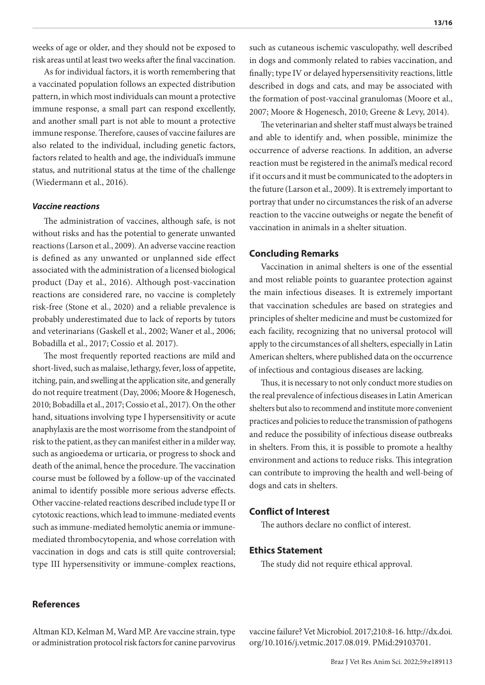weeks of age or older, and they should not be exposed to risk areas until at least two weeks after the final vaccination.

As for individual factors, it is worth remembering that a vaccinated population follows an expected distribution pattern, in which most individuals can mount a protective immune response, a small part can respond excellently, and another small part is not able to mount a protective immune response. Therefore, causes of vaccine failures are also related to the individual, including genetic factors, factors related to health and age, the individual's immune status, and nutritional status at the time of the challenge (Wiedermann et al., 2016).

#### *Vaccine reactions*

The administration of vaccines, although safe, is not without risks and has the potential to generate unwanted reactions (Larson et al., 2009). An adverse vaccine reaction is defined as any unwanted or unplanned side effect associated with the administration of a licensed biological product (Day et al., 2016). Although post-vaccination reactions are considered rare, no vaccine is completely risk-free (Stone et al., 2020) and a reliable prevalence is probably underestimated due to lack of reports by tutors and veterinarians (Gaskell et al., 2002; Waner et al., 2006; Bobadilla et al., 2017; Cossio et al. 2017).

The most frequently reported reactions are mild and short-lived, such as malaise, lethargy, fever, loss of appetite, itching, pain, and swelling at the application site, and generally do not require treatment (Day, 2006; Moore & Hogenesch, 2010; Bobadilla et al., 2017; Cossio et al., 2017). On the other hand, situations involving type I hypersensitivity or acute anaphylaxis are the most worrisome from the standpoint of risk to the patient, as they can manifest either in a milder way, such as angioedema or urticaria, or progress to shock and death of the animal, hence the procedure. The vaccination course must be followed by a follow-up of the vaccinated animal to identify possible more serious adverse effects. Other vaccine-related reactions described include type II or cytotoxic reactions, which lead to immune-mediated events such as immune-mediated hemolytic anemia or immunemediated thrombocytopenia, and whose correlation with vaccination in dogs and cats is still quite controversial; type III hypersensitivity or immune-complex reactions,

such as cutaneous ischemic vasculopathy, well described in dogs and commonly related to rabies vaccination, and finally; type IV or delayed hypersensitivity reactions, little described in dogs and cats, and may be associated with the formation of post-vaccinal granulomas (Moore et al., 2007; Moore & Hogenesch, 2010; Greene & Levy, 2014).

The veterinarian and shelter staff must always be trained and able to identify and, when possible, minimize the occurrence of adverse reactions. In addition, an adverse reaction must be registered in the animal's medical record if it occurs and it must be communicated to the adopters in the future (Larson et al., 2009). It is extremely important to portray that under no circumstances the risk of an adverse reaction to the vaccine outweighs or negate the benefit of vaccination in animals in a shelter situation.

#### **Concluding Remarks**

Vaccination in animal shelters is one of the essential and most reliable points to guarantee protection against the main infectious diseases. It is extremely important that vaccination schedules are based on strategies and principles of shelter medicine and must be customized for each facility, recognizing that no universal protocol will apply to the circumstances of all shelters, especially in Latin American shelters, where published data on the occurrence of infectious and contagious diseases are lacking.

Thus, it is necessary to not only conduct more studies on the real prevalence of infectious diseases in Latin American shelters but also to recommend and institute more convenient practices and policies to reduce the transmission of pathogens and reduce the possibility of infectious disease outbreaks in shelters. From this, it is possible to promote a healthy environment and actions to reduce risks. This integration can contribute to improving the health and well-being of dogs and cats in shelters.

## **Conflict of Interest**

The authors declare no conflict of interest.

# **Ethics Statement**

The study did not require ethical approval.

# **References**

Altman KD, Kelman M, Ward MP. Are vaccine strain, type or administration protocol risk factors for canine parvovirus

vaccine failure? Vet Microbiol. 2017;210:8-16. [http://dx.doi.](https://doi.org/10.1016/j.vetmic.2017.08.019) [org/10.1016/j.vetmic.2017.08.019](https://doi.org/10.1016/j.vetmic.2017.08.019). [PMid:29103701.](https://www.ncbi.nlm.nih.gov/entrez/query.fcgi?cmd=Retrieve&db=PubMed&list_uids=29103701&dopt=Abstract)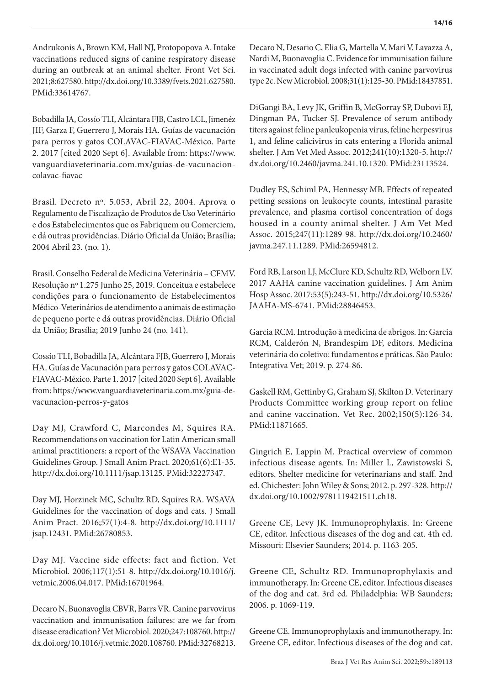Andrukonis A, Brown KM, Hall NJ, Protopopova A. Intake vaccinations reduced signs of canine respiratory disease during an outbreak at an animal shelter. Front Vet Sci. 2021;8:627580. [http://dx.doi.org/10.3389/fvets.2021.627580.](https://doi.org/10.3389/fvets.2021.627580) [PMid:33614767.](https://www.ncbi.nlm.nih.gov/entrez/query.fcgi?cmd=Retrieve&db=PubMed&list_uids=33614767&dopt=Abstract)

Bobadilla JA, Cossío TLI, Alcántara FJB, Castro LCL, Jimenéz JIF, Garza F, Guerrero J, Morais HA. Guías de vacunación para perros y gatos COLAVAC-FIAVAC-México. Parte 2. 2017 [cited 2020 Sept 6]. Available from: https://www. vanguardiaveterinaria.com.mx/guias-de-vacunacioncolavac-fiavac

Brasil. Decreto nº. 5.053, Abril 22, 2004. Aprova o Regulamento de Fiscalização de Produtos de Uso Veterinário e dos Estabelecimentos que os Fabriquem ou Comerciem, e dá outras providências. Diário Oficial da União; Brasília; 2004 Abril 23. (no. 1).

Brasil. Conselho Federal de Medicina Veterinária – CFMV. Resolução nº 1.275 Junho 25, 2019. Conceitua e estabelece condições para o funcionamento de Estabelecimentos Médico-Veterinários de atendimento a animais de estimação de pequeno porte e dá outras providências. Diário Oficial da União; Brasília; 2019 Junho 24 (no. 141).

Cossío TLI, Bobadilla JA, Alcántara FJB, Guerrero J, Morais HA. Guías de Vacunación para perros y gatos COLAVAC-FIAVAC-México. Parte 1. 2017 [cited 2020 Sept 6]. Available from: https://www.vanguardiaveterinaria.com.mx/guia-devacunacion-perros-y-gatos

Day MJ, Crawford C, Marcondes M, Squires RA. Recommendations on vaccination for Latin American small animal practitioners: a report of the WSAVA Vaccination Guidelines Group. J Small Anim Pract. 2020;61(6):E1-35. [http://dx.doi.org/10.1111/jsap.13125.](https://doi.org/10.1111/jsap.13125) [PMid:32227347.](https://www.ncbi.nlm.nih.gov/entrez/query.fcgi?cmd=Retrieve&db=PubMed&list_uids=32227347&dopt=Abstract)

Day MJ, Horzinek MC, Schultz RD, Squires RA. WSAVA Guidelines for the vaccination of dogs and cats. J Small Anim Pract. 2016;57(1):4-8. [http://dx.doi.org/10.1111/](https://doi.org/10.1111/jsap.12431) [jsap.12431.](https://doi.org/10.1111/jsap.12431) [PMid:26780853.](https://www.ncbi.nlm.nih.gov/entrez/query.fcgi?cmd=Retrieve&db=PubMed&list_uids=26780853&dopt=Abstract)

Day MJ. Vaccine side effects: fact and fiction. Vet Microbiol. 2006;117(1):51-8. [http://dx.doi.org/10.1016/j.](https://doi.org/10.1016/j.vetmic.2006.04.017) [vetmic.2006.04.017](https://doi.org/10.1016/j.vetmic.2006.04.017). [PMid:16701964.](https://www.ncbi.nlm.nih.gov/entrez/query.fcgi?cmd=Retrieve&db=PubMed&list_uids=16701964&dopt=Abstract)

Decaro N, Buonavoglia CBVR, Barrs VR. Canine parvovirus vaccination and immunisation failures: are we far from disease eradication? Vet Microbiol. 2020;247:108760. [http://](https://doi.org/10.1016/j.vetmic.2020.108760) [dx.doi.org/10.1016/j.vetmic.2020.108760.](https://doi.org/10.1016/j.vetmic.2020.108760) [PMid:32768213.](https://www.ncbi.nlm.nih.gov/entrez/query.fcgi?cmd=Retrieve&db=PubMed&list_uids=32768213&dopt=Abstract)

Decaro N, Desario C, Elia G, Martella V, Mari V, Lavazza A, Nardi M, Buonavoglia C. Evidence for immunisation failure in vaccinated adult dogs infected with canine parvovirus type 2c. New Microbiol. 2008;31(1):125-30[. PMid:18437851.](https://www.ncbi.nlm.nih.gov/entrez/query.fcgi?cmd=Retrieve&db=PubMed&list_uids=18437851&dopt=Abstract)

DiGangi BA, Levy JK, Griffin B, McGorray SP, Dubovi EJ, Dingman PA, Tucker SJ. Prevalence of serum antibody titers against feline panleukopenia virus, feline herpesvirus 1, and feline calicivirus in cats entering a Florida animal shelter. J Am Vet Med Assoc. 2012;241(10):1320-5. [http://](https://doi.org/10.2460/javma.241.10.1320) [dx.doi.org/10.2460/javma.241.10.1320](https://doi.org/10.2460/javma.241.10.1320)[. PMid:23113524.](https://www.ncbi.nlm.nih.gov/entrez/query.fcgi?cmd=Retrieve&db=PubMed&list_uids=23113524&dopt=Abstract)

Dudley ES, Schiml PA, Hennessy MB. Effects of repeated petting sessions on leukocyte counts, intestinal parasite prevalence, and plasma cortisol concentration of dogs housed in a county animal shelter. J Am Vet Med Assoc. 2015;247(11):1289-98. [http://dx.doi.org/10.2460/](https://doi.org/10.2460/javma.247.11.1289) [javma.247.11.1289.](https://doi.org/10.2460/javma.247.11.1289) [PMid:26594812.](https://www.ncbi.nlm.nih.gov/entrez/query.fcgi?cmd=Retrieve&db=PubMed&list_uids=26594812&dopt=Abstract)

Ford RB, Larson LJ, McClure KD, Schultz RD, Welborn LV. 2017 AAHA canine vaccination guidelines. J Am Anim Hosp Assoc. 2017;53(5):243-51. [http://dx.doi.org/10.5326/](https://doi.org/10.5326/JAAHA-MS-6741) [JAAHA-MS-6741.](https://doi.org/10.5326/JAAHA-MS-6741) [PMid:28846453.](https://www.ncbi.nlm.nih.gov/entrez/query.fcgi?cmd=Retrieve&db=PubMed&list_uids=28846453&dopt=Abstract)

Garcia RCM. Introdução à medicina de abrigos. In: Garcia RCM, Calderón N, Brandespim DF, editors. Medicina veterinária do coletivo: fundamentos e práticas. São Paulo: Integrativa Vet; 2019. p. 274-86.

Gaskell RM, Gettinby G, Graham SJ, Skilton D. Veterinary Products Committee working group report on feline and canine vaccination. Vet Rec. 2002;150(5):126-34. [PMid:11871665.](https://www.ncbi.nlm.nih.gov/entrez/query.fcgi?cmd=Retrieve&db=PubMed&list_uids=11871665&dopt=Abstract)

Gingrich E, Lappin M. Practical overview of common infectious disease agents. In: Miller L, Zawistowski S, editors. Shelter medicine for veterinarians and staff. 2nd ed. Chichester: John Wiley & Sons; 2012. p. 297-328. [http://](https://doi.org/10.1002/9781119421511.ch18) [dx.doi.org/10.1002/9781119421511.ch18.](https://doi.org/10.1002/9781119421511.ch18)

Greene CE, Levy JK. Immunoprophylaxis. In: Greene CE, editor. Infectious diseases of the dog and cat. 4th ed. Missouri: Elsevier Saunders; 2014. p. 1163-205.

Greene CE, Schultz RD. Immunoprophylaxis and immunotherapy. In: Greene CE, editor. Infectious diseases of the dog and cat. 3rd ed. Philadelphia: WB Saunders; 2006. p. 1069-119.

Greene CE. Immunoprophylaxis and immunotherapy. In: Greene CE, editor. Infectious diseases of the dog and cat.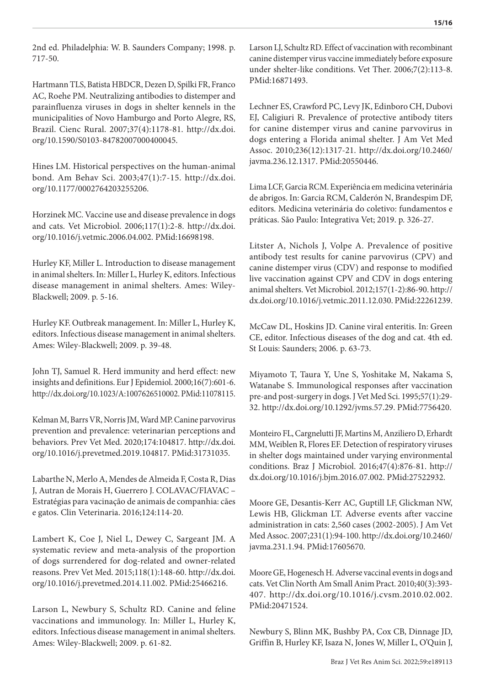2nd ed. Philadelphia: W. B. Saunders Company; 1998. p. 717-50.

Hartmann TLS, Batista HBDCR, Dezen D, Spilki FR, Franco AC, Roehe PM. Neutralizing antibodies to distemper and parainfluenza viruses in dogs in shelter kennels in the municipalities of Novo Hamburgo and Porto Alegre, RS, Brazil. Cienc Rural. 2007;37(4):1178-81. [http://dx.doi.](https://doi.org/10.1590/S0103-84782007000400045) [org/10.1590/S0103-84782007000400045.](https://doi.org/10.1590/S0103-84782007000400045)

Hines LM. Historical perspectives on the human-animal bond. Am Behav Sci. 2003;47(1):7-15. [http://dx.doi.](https://doi.org/10.1177/0002764203255206) [org/10.1177/0002764203255206](https://doi.org/10.1177/0002764203255206).

Horzinek MC. Vaccine use and disease prevalence in dogs and cats. Vet Microbiol. 2006;117(1):2-8. [http://dx.doi.](https://doi.org/10.1016/j.vetmic.2006.04.002) [org/10.1016/j.vetmic.2006.04.002](https://doi.org/10.1016/j.vetmic.2006.04.002)[. PMid:16698198.](https://www.ncbi.nlm.nih.gov/entrez/query.fcgi?cmd=Retrieve&db=PubMed&list_uids=16698198&dopt=Abstract)

Hurley KF, Miller L. Introduction to disease management in animal shelters. In: Miller L, Hurley K, editors. Infectious disease management in animal shelters. Ames: Wiley-Blackwell; 2009. p. 5-16.

Hurley KF. Outbreak management. In: Miller L, Hurley K, editors. Infectious disease management in animal shelters. Ames: Wiley-Blackwell; 2009. p. 39-48.

John TJ, Samuel R. Herd immunity and herd effect: new insights and definitions. Eur J Epidemiol. 2000;16(7):601-6. [http://dx.doi.org/10.1023/A:1007626510002](https://doi.org/10.1023/A:1007626510002). [PMid:11078115.](https://www.ncbi.nlm.nih.gov/entrez/query.fcgi?cmd=Retrieve&db=PubMed&list_uids=11078115&dopt=Abstract)

Kelman M, Barrs VR, Norris JM, Ward MP. Canine parvovirus prevention and prevalence: veterinarian perceptions and behaviors. Prev Vet Med. 2020;174:104817. [http://dx.doi.](https://doi.org/10.1016/j.prevetmed.2019.104817) [org/10.1016/j.prevetmed.2019.104817.](https://doi.org/10.1016/j.prevetmed.2019.104817) [PMid:31731035.](https://www.ncbi.nlm.nih.gov/entrez/query.fcgi?cmd=Retrieve&db=PubMed&list_uids=31731035&dopt=Abstract)

Labarthe N, Merlo A, Mendes de Almeida F, Costa R, Dias J, Autran de Morais H, Guerrero J. COLAVAC/FIAVAC – Estratégias para vacinação de animais de companhia: cães e gatos. Clin Veterinaria. 2016;124:114-20.

Lambert K, Coe J, Niel L, Dewey C, Sargeant JM. A systematic review and meta-analysis of the proportion of dogs surrendered for dog-related and owner-related reasons. Prev Vet Med. 2015;118(1):148-60. [http://dx.doi.](https://doi.org/10.1016/j.prevetmed.2014.11.002) [org/10.1016/j.prevetmed.2014.11.002](https://doi.org/10.1016/j.prevetmed.2014.11.002)[. PMid:25466216.](https://www.ncbi.nlm.nih.gov/entrez/query.fcgi?cmd=Retrieve&db=PubMed&list_uids=25466216&dopt=Abstract)

Larson L, Newbury S, Schultz RD. Canine and feline vaccinations and immunology. In: Miller L, Hurley K, editors. Infectious disease management in animal shelters. Ames: Wiley-Blackwell; 2009. p. 61-82.

Larson LJ, Schultz RD. Effect of vaccination with recombinant canine distemper virus vaccine immediately before exposure under shelter-like conditions. Vet Ther. 2006;7(2):113-8. [PMid:16871493.](https://www.ncbi.nlm.nih.gov/entrez/query.fcgi?cmd=Retrieve&db=PubMed&list_uids=16871493&dopt=Abstract)

Lechner ES, Crawford PC, Levy JK, Edinboro CH, Dubovi EJ, Caligiuri R. Prevalence of protective antibody titers for canine distemper virus and canine parvovirus in dogs entering a Florida animal shelter. J Am Vet Med Assoc. 2010;236(12):1317-21. [http://dx.doi.org/10.2460/](https://doi.org/10.2460/javma.236.12.1317) [javma.236.12.1317.](https://doi.org/10.2460/javma.236.12.1317) [PMid:20550446.](https://www.ncbi.nlm.nih.gov/entrez/query.fcgi?cmd=Retrieve&db=PubMed&list_uids=20550446&dopt=Abstract)

Lima LCF, Garcia RCM. Experiência em medicina veterinária de abrigos. In: Garcia RCM, Calderón N, Brandespim DF, editors. Medicina veterinária do coletivo: fundamentos e práticas. São Paulo: Integrativa Vet; 2019. p. 326-27.

Litster A, Nichols J, Volpe A. Prevalence of positive antibody test results for canine parvovirus (CPV) and canine distemper virus (CDV) and response to modified live vaccination against CPV and CDV in dogs entering animal shelters. Vet Microbiol. 2012;157(1-2):86-90. [http://](https://doi.org/10.1016/j.vetmic.2011.12.030) [dx.doi.org/10.1016/j.vetmic.2011.12.030](https://doi.org/10.1016/j.vetmic.2011.12.030). [PMid:22261239.](https://www.ncbi.nlm.nih.gov/entrez/query.fcgi?cmd=Retrieve&db=PubMed&list_uids=22261239&dopt=Abstract)

McCaw DL, Hoskins JD. Canine viral enteritis. In: Green CE, editor. Infectious diseases of the dog and cat. 4th ed. St Louis: Saunders; 2006. p. 63-73.

Miyamoto T, Taura Y, Une S, Yoshitake M, Nakama S, Watanabe S. Immunological responses after vaccination pre-and post-surgery in dogs. J Vet Med Sci. 1995;57(1):29- 32. [http://dx.doi.org/10.1292/jvms.57.29.](https://doi.org/10.1292/jvms.57.29) [PMid:7756420.](https://www.ncbi.nlm.nih.gov/entrez/query.fcgi?cmd=Retrieve&db=PubMed&list_uids=7756420&dopt=Abstract)

Monteiro FL, Cargnelutti JF, Martins M, Anziliero D, Erhardt MM, Weiblen R, Flores EF. Detection of respiratory viruses in shelter dogs maintained under varying environmental conditions. Braz J Microbiol. 2016;47(4):876-81. [http://](https://doi.org/10.1016/j.bjm.2016.07.002) [dx.doi.org/10.1016/j.bjm.2016.07.002](https://doi.org/10.1016/j.bjm.2016.07.002)[. PMid:27522932.](https://www.ncbi.nlm.nih.gov/entrez/query.fcgi?cmd=Retrieve&db=PubMed&list_uids=27522932&dopt=Abstract)

Moore GE, Desantis-Kerr AC, Guptill LF, Glickman NW, Lewis HB, Glickman LT. Adverse events after vaccine administration in cats: 2,560 cases (2002-2005). J Am Vet Med Assoc. 2007;231(1):94-100. [http://dx.doi.org/10.2460/](https://doi.org/10.2460/javma.231.1.94) [javma.231.1.94](https://doi.org/10.2460/javma.231.1.94)[. PMid:17605670.](https://www.ncbi.nlm.nih.gov/entrez/query.fcgi?cmd=Retrieve&db=PubMed&list_uids=17605670&dopt=Abstract)

Moore GE, Hogenesch H. Adverse vaccinal events in dogs and cats. Vet Clin North Am Small Anim Pract. 2010;40(3):393- 407. [http://dx.doi.org/10.1016/j.cvsm.2010.02.002.](https://doi.org/10.1016/j.cvsm.2010.02.002) [PMid:20471524.](https://www.ncbi.nlm.nih.gov/entrez/query.fcgi?cmd=Retrieve&db=PubMed&list_uids=20471524&dopt=Abstract)

Newbury S, Blinn MK, Bushby PA, Cox CB, Dinnage JD, Griffin B, Hurley KF, Isaza N, Jones W, Miller L, O'Quin J,